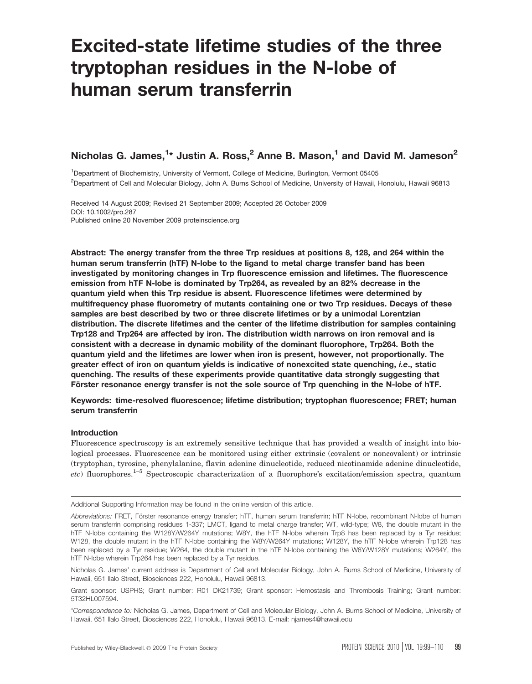# Excited-state lifetime studies of the three tryptophan residues in the N-lobe of human serum transferrin

# Nicholas G. James, $^{1\star}$  Justin A. Ross, $^{2}$  Anne B. Mason, $^{1}$  and David M. Jameson $^{2}$

<sup>1</sup>Department of Biochemistry, University of Vermont, College of Medicine, Burlington, Vermont 05405 2 Department of Cell and Molecular Biology, John A. Burns School of Medicine, University of Hawaii, Honolulu, Hawaii 96813

Received 14 August 2009; Revised 21 September 2009; Accepted 26 October 2009 DOI: 10.1002/pro.287 Published online 20 November 2009 proteinscience.org

Abstract: The energy transfer from the three Trp residues at positions 8, 128, and 264 within the human serum transferrin (hTF) N-lobe to the ligand to metal charge transfer band has been investigated by monitoring changes in Trp fluorescence emission and lifetimes. The fluorescence emission from hTF N-lobe is dominated by Trp264, as revealed by an 82% decrease in the quantum yield when this Trp residue is absent. Fluorescence lifetimes were determined by multifrequency phase fluorometry of mutants containing one or two Trp residues. Decays of these samples are best described by two or three discrete lifetimes or by a unimodal Lorentzian distribution. The discrete lifetimes and the center of the lifetime distribution for samples containing Trp128 and Trp264 are affected by iron. The distribution width narrows on iron removal and is consistent with a decrease in dynamic mobility of the dominant fluorophore, Trp264. Both the quantum yield and the lifetimes are lower when iron is present, however, not proportionally. The greater effect of iron on quantum yields is indicative of nonexcited state quenching, i.e., static quenching. The results of these experiments provide quantitative data strongly suggesting that Förster resonance energy transfer is not the sole source of Trp quenching in the N-lobe of hTF.

Keywords: time-resolved fluorescence; lifetime distribution; tryptophan fluorescence; FRET; human serum transferrin

# Introduction

Fluorescence spectroscopy is an extremely sensitive technique that has provided a wealth of insight into biological processes. Fluorescence can be monitored using either extrinsic (covalent or noncovalent) or intrinsic (tryptophan, tyrosine, phenylalanine, flavin adenine dinucleotide, reduced nicotinamide adenine dinucleotide,  $etc$ ) fluorophores.<sup>1–5</sup> Spectroscopic characterization of a fluorophore's excitation/emission spectra, quantum

Additional Supporting Information may be found in the online version of this article.

Abbreviations: FRET, Förster resonance energy transfer; hTF, human serum transferrin; hTF N-lobe, recombinant N-lobe of human serum transferrin comprising residues 1-337; LMCT, ligand to metal charge transfer; WT, wild-type; W8, the double mutant in the hTF N-lobe containing the W128Y/W264Y mutations; W8Y, the hTF N-lobe wherein Trp8 has been replaced by a Tyr residue; W128, the double mutant in the hTF N-lobe containing the W8Y/W264Y mutations; W128Y, the hTF N-lobe wherein Trp128 has been replaced by a Tyr residue; W264, the double mutant in the hTF N-lobe containing the W8Y/W128Y mutations; W264Y, the hTF N-lobe wherein Trp264 has been replaced by a Tyr residue.

Nicholas G. James' current address is Department of Cell and Molecular Biology, John A. Burns School of Medicine, University of Hawaii, 651 Ilalo Street, Biosciences 222, Honolulu, Hawaii 96813.

Grant sponsor: USPHS; Grant number: R01 DK21739; Grant sponsor: Hemostasis and Thrombosis Training; Grant number: 5T32HL007594.

<sup>\*</sup>Correspondence to: Nicholas G. James, Department of Cell and Molecular Biology, John A. Burns School of Medicine, University of Hawaii, 651 Ilalo Street, Biosciences 222, Honolulu, Hawaii 96813. E-mail: njames4@hawaii.edu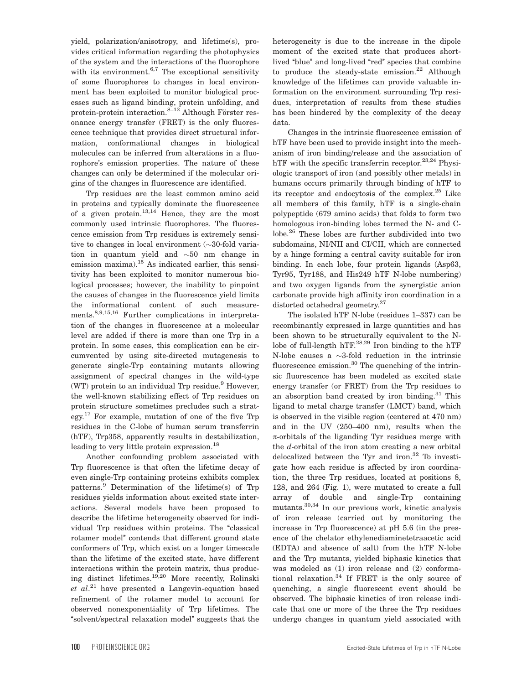yield, polarization/anisotropy, and lifetime(s), provides critical information regarding the photophysics of the system and the interactions of the fluorophore with its environment. $6,7$  The exceptional sensitivity of some fluorophores to changes in local environment has been exploited to monitor biological processes such as ligand binding, protein unfolding, and protein-protein interaction.<sup>8–12</sup> Although Förster resonance energy transfer (FRET) is the only fluorescence technique that provides direct structural information, conformational changes in biological molecules can be inferred from alterations in a fluorophore's emission properties. The nature of these changes can only be determined if the molecular origins of the changes in fluorescence are identified.

Trp residues are the least common amino acid in proteins and typically dominate the fluorescence of a given protein.<sup>13,14</sup> Hence, they are the most commonly used intrinsic fluorophores. The fluorescence emission from Trp residues is extremely sensitive to changes in local environment  $(\sim 30$ -fold variation in quantum yield and  $\sim 50$  nm change in emission maxima).15 As indicated earlier, this sensitivity has been exploited to monitor numerous biological processes; however, the inability to pinpoint the causes of changes in the fluorescence yield limits the informational content of such measurements.8,9,15,16 Further complications in interpretation of the changes in fluorescence at a molecular level are added if there is more than one Trp in a protein. In some cases, this complication can be circumvented by using site-directed mutagenesis to generate single-Trp containing mutants allowing assignment of spectral changes in the wild-type (WT) protein to an individual Trp residue. $9$  However, the well-known stabilizing effect of Trp residues on protein structure sometimes precludes such a strategy.<sup>17</sup> For example, mutation of one of the five Trp residues in the C-lobe of human serum transferrin (hTF), Trp358, apparently results in destabilization, leading to very little protein expression.<sup>18</sup>

Another confounding problem associated with Trp fluorescence is that often the lifetime decay of even single-Trp containing proteins exhibits complex patterns.<sup>9</sup> Determination of the lifetime(s) of Trp residues yields information about excited state interactions. Several models have been proposed to describe the lifetime heterogeneity observed for individual Trp residues within proteins. The "classical rotamer model'' contends that different ground state conformers of Trp, which exist on a longer timescale than the lifetime of the excited state, have different interactions within the protein matrix, thus producing distinct lifetimes.19,20 More recently, Rolinski  $et$   $al.^{21}$  have presented a Langevin-equation based refinement of the rotamer model to account for observed nonexponentiality of Trp lifetimes. The ''solvent/spectral relaxation model'' suggests that the heterogeneity is due to the increase in the dipole moment of the excited state that produces shortlived "blue" and long-lived "red" species that combine to produce the steady-state emission.<sup>22</sup> Although knowledge of the lifetimes can provide valuable information on the environment surrounding Trp residues, interpretation of results from these studies has been hindered by the complexity of the decay data.

Changes in the intrinsic fluorescence emission of hTF have been used to provide insight into the mechanism of iron binding/release and the association of hTF with the specific transferrin receptor. $23,24$  Physiologic transport of iron (and possibly other metals) in humans occurs primarily through binding of hTF to its receptor and endocytosis of the complex. $25$  Like all members of this family, hTF is a single-chain polypeptide (679 amino acids) that folds to form two homologous iron-binding lobes termed the N- and Clobe.<sup>26</sup> These lobes are further subdivided into two subdomains, NI/NII and CI/CII, which are connected by a hinge forming a central cavity suitable for iron binding. In each lobe, four protein ligands (Asp63, Tyr95, Tyr188, and His249 hTF N-lobe numbering) and two oxygen ligands from the synergistic anion carbonate provide high affinity iron coordination in a distorted octahedral geometry.<sup>27</sup>

The isolated hTF N-lobe (residues 1–337) can be recombinantly expressed in large quantities and has been shown to be structurally equivalent to the Nlobe of full-length hTF. $^{28,29}$  Iron binding to the hTF N-lobe causes a  $\sim$ 3-fold reduction in the intrinsic fluorescence emission.<sup>30</sup> The quenching of the intrinsic fluorescence has been modeled as excited state energy transfer (or FRET) from the Trp residues to an absorption band created by iron binding.<sup>31</sup> This ligand to metal charge transfer (LMCT) band, which is observed in the visible region (centered at 470 nm) and in the UV (250–400 nm), results when the  $\pi$ -orbitals of the liganding Tyr residues merge with the d-orbital of the iron atom creating a new orbital delocalized between the Tyr and iron.<sup>32</sup> To investigate how each residue is affected by iron coordination, the three Trp residues, located at positions 8, 128, and 264 (Fig. 1), were mutated to create a full array of double and single-Trp containing mutants.30,34 In our previous work, kinetic analysis of iron release (carried out by monitoring the increase in Trp fluorescence) at pH 5.6 (in the presence of the chelator ethylenediaminetetraacetic acid (EDTA) and absence of salt) from the hTF N-lobe and the Trp mutants, yielded biphasic kinetics that was modeled as (1) iron release and (2) conformational relaxation.34 If FRET is the only source of quenching, a single fluorescent event should be observed. The biphasic kinetics of iron release indicate that one or more of the three the Trp residues undergo changes in quantum yield associated with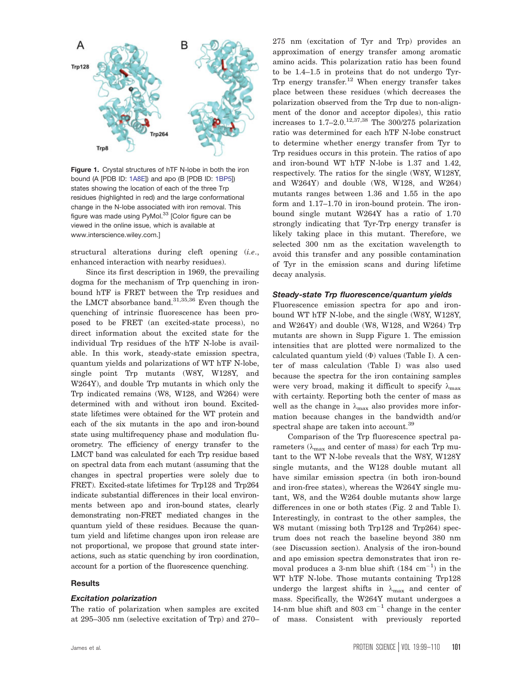

Figure 1. Crystal structures of hTF N-lobe in both the iron bound (A [PDB ID: 1A8E]) and apo (B [PDB ID: 1BP5]) states showing the location of each of the three Trp residues (highlighted in red) and the large conformational change in the N-lobe associated with iron removal. This figure was made using PyMol.<sup>33</sup> [Color figure can be viewed in the online issue, which is available at www.interscience.wiley.com.]

structural alterations during cleft opening (*i.e.*, enhanced interaction with nearby residues).

Since its first description in 1969, the prevailing dogma for the mechanism of Trp quenching in ironbound hTF is FRET between the Trp residues and the LMCT absorbance band.<sup>31,35,36</sup> Even though the quenching of intrinsic fluorescence has been proposed to be FRET (an excited-state process), no direct information about the excited state for the individual Trp residues of the hTF N-lobe is available. In this work, steady-state emission spectra, quantum yields and polarizations of WT hTF N-lobe, single point Trp mutants (W8Y, W128Y, and W264Y), and double Trp mutants in which only the Trp indicated remains (W8, W128, and W264) were determined with and without iron bound. Excitedstate lifetimes were obtained for the WT protein and each of the six mutants in the apo and iron-bound state using multifrequency phase and modulation fluorometry. The efficiency of energy transfer to the LMCT band was calculated for each Trp residue based on spectral data from each mutant (assuming that the changes in spectral properties were solely due to FRET). Excited-state lifetimes for Trp128 and Trp264 indicate substantial differences in their local environments between apo and iron-bound states, clearly demonstrating non-FRET mediated changes in the quantum yield of these residues. Because the quantum yield and lifetime changes upon iron release are not proportional, we propose that ground state interactions, such as static quenching by iron coordination, account for a portion of the fluorescence quenching.

#### Results

#### Excitation polarization

The ratio of polarization when samples are excited at 295–305 nm (selective excitation of Trp) and 270– 275 nm (excitation of Tyr and Trp) provides an approximation of energy transfer among aromatic amino acids. This polarization ratio has been found to be 1.4–1.5 in proteins that do not undergo Tyr-Trp energy transfer.<sup>12</sup> When energy transfer takes place between these residues (which decreases the polarization observed from the Trp due to non-alignment of the donor and acceptor dipoles), this ratio increases to  $1.7-2.0$ .<sup>12,37,38</sup> The 300/275 polarization ratio was determined for each hTF N-lobe construct to determine whether energy transfer from Tyr to Trp residues occurs in this protein. The ratios of apo and iron-bound WT hTF N-lobe is 1.37 and 1.42, respectively. The ratios for the single (W8Y, W128Y, and W264Y) and double (W8, W128, and W264) mutants ranges between 1.36 and 1.55 in the apo form and 1.17–1.70 in iron-bound protein. The ironbound single mutant W264Y has a ratio of 1.70 strongly indicating that Tyr-Trp energy transfer is likely taking place in this mutant. Therefore, we selected 300 nm as the excitation wavelength to avoid this transfer and any possible contamination of Tyr in the emission scans and during lifetime decay analysis.

#### Steady-state Trp fluorescence/quantum yields

Fluorescence emission spectra for apo and ironbound WT hTF N-lobe, and the single (W8Y, W128Y, and W264Y) and double (W8, W128, and W264) Trp mutants are shown in Supp Figure 1. The emission intensities that are plotted were normalized to the calculated quantum yield  $(\Phi)$  values (Table I). A center of mass calculation (Table I) was also used because the spectra for the iron containing samples were very broad, making it difficult to specify  $\lambda_{\text{max}}$ with certainty. Reporting both the center of mass as well as the change in  $\lambda_{\text{max}}$  also provides more information because changes in the bandwidth and/or spectral shape are taken into account.<sup>39</sup>

Comparison of the Trp fluorescence spectral parameters ( $\lambda_{\text{max}}$  and center of mass) for each Trp mutant to the WT N-lobe reveals that the W8Y, W128Y single mutants, and the W128 double mutant all have similar emission spectra (in both iron-bound and iron-free states), whereas the W264Y single mutant, W8, and the W264 double mutants show large differences in one or both states (Fig. 2 and Table I). Interestingly, in contrast to the other samples, the W8 mutant (missing both Trp128 and Trp264) spectrum does not reach the baseline beyond 380 nm (see Discussion section). Analysis of the iron-bound and apo emission spectra demonstrates that iron removal produces a 3-nm blue shift  $(184 \text{ cm}^{-1})$  in the WT hTF N-lobe. Those mutants containing Trp128 undergo the largest shifts in  $\lambda_{\text{max}}$  and center of mass. Specifically, the W264Y mutant undergoes a 14-nm blue shift and  $803 \text{ cm}^{-1}$  change in the center of mass. Consistent with previously reported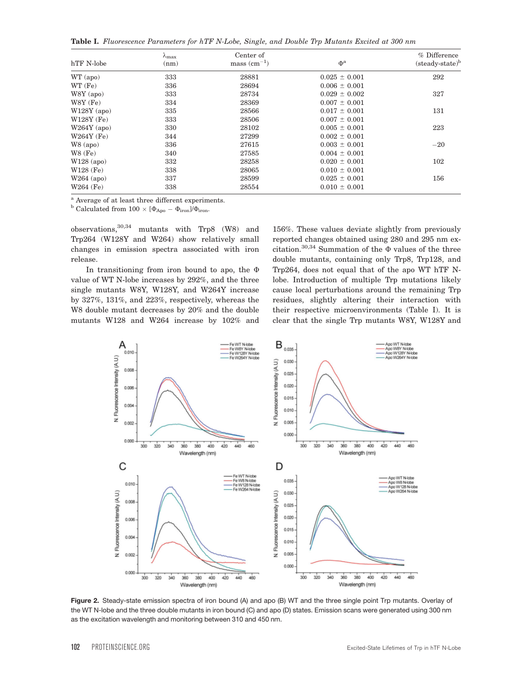Table I. Fluorescence Parameters for hTF N-Lobe, Single, and Double Trp Mutants Excited at 300 nm

| hTF N-lobe    | $\lambda_{\rm max}$<br>(nm) | Center of<br>$mass (cm-1)$ | $\Phi^a$          | % Difference<br>(steady-state) <sup>b</sup> |  |
|---------------|-----------------------------|----------------------------|-------------------|---------------------------------------------|--|
| WT (apo)      | 333                         | 28881                      | $0.025 \pm 0.001$ | 292                                         |  |
| WT(Fe)        | 336                         | 28694                      | $0.006 \pm 0.001$ |                                             |  |
| $W8Y$ (apo)   | 333                         | 28734                      | $0.029 \pm 0.002$ | 327                                         |  |
| $W8Y$ (Fe)    | 334                         | 28369                      | $0.007 \pm 0.001$ |                                             |  |
| $W128Y$ (apo) | 335                         | 28566                      | $0.017 \pm 0.001$ | 131                                         |  |
| $W128Y$ (Fe)  | 333                         | 28506                      | $0.007 \pm 0.001$ |                                             |  |
| $W264Y$ (apo) | 330                         | 28102                      | $0.005 \pm 0.001$ | 223                                         |  |
| $W264Y$ (Fe)  | 344                         | 27299                      | $0.002 \pm 0.001$ |                                             |  |
| $W8$ (apo)    | 336                         | 27615                      | $0.003 \pm 0.001$ | $-20$                                       |  |
| $W8$ (Fe)     | 340                         | 27585                      | $0.004 \pm 0.001$ |                                             |  |
| $W128$ (apo)  | 332                         | 28258                      | $0.020 \pm 0.001$ | 102                                         |  |
| $W128$ (Fe)   | 338                         | 28065                      | $0.010 \pm 0.001$ |                                             |  |
| $W264$ (apo)  | 337                         | 28599                      | $0.025 \pm 0.001$ | 156                                         |  |
| $W264$ (Fe)   | 338                         | 28554                      | $0.010 \pm 0.001$ |                                             |  |

<sup>a</sup> Average of at least three different experiments.

 $^{\rm b}$  Calculated from  $100 \times [\Phi_{\rm Apo} - \Phi_{\rm iron}]/\Phi_{\rm iron}.$ 

 $observations$ ,  $30,34$  mutants with Trp8 (W8) and Trp264 (W128Y and W264) show relatively small changes in emission spectra associated with iron release.

In transitioning from iron bound to apo, the  $\Phi$ value of WT N-lobe increases by 292%, and the three single mutants W8Y, W128Y, and W264Y increase by 327%, 131%, and 223%, respectively, whereas the W8 double mutant decreases by 20% and the double mutants W128 and W264 increase by 102% and

156%. These values deviate slightly from previously reported changes obtained using 280 and 295 nm excitation.<sup>30,34</sup> Summation of the  $\Phi$  values of the three double mutants, containing only Trp8, Trp128, and Trp264, does not equal that of the apo WT hTF Nlobe. Introduction of multiple Trp mutations likely cause local perturbations around the remaining Trp residues, slightly altering their interaction with their respective microenvironments (Table I). It is clear that the single Trp mutants W8Y, W128Y and



Figure 2. Steady-state emission spectra of iron bound (A) and apo (B) WT and the three single point Trp mutants. Overlay of the WT N-lobe and the three double mutants in iron bound (C) and apo (D) states. Emission scans were generated using 300 nm as the excitation wavelength and monitoring between 310 and 450 nm.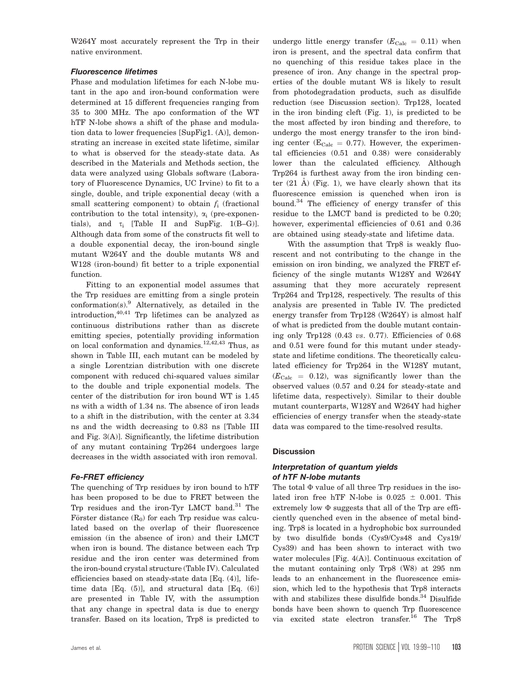W264Y most accurately represent the Trp in their native environment.

### Fluorescence lifetimes

Phase and modulation lifetimes for each N-lobe mutant in the apo and iron-bound conformation were determined at 15 different frequencies ranging from 35 to 300 MHz. The apo conformation of the WT hTF N-lobe shows a shift of the phase and modulation data to lower frequencies [SupFig1. (A)], demonstrating an increase in excited state lifetime, similar to what is observed for the steady-state data. As described in the Materials and Methods section, the data were analyzed using Globals software (Laboratory of Fluorescence Dynamics, UC Irvine) to fit to a single, double, and triple exponential decay (with a small scattering component) to obtain  $f_i$  (fractional contribution to the total intensity),  $\alpha_i$  (pre-exponentials), and  $\tau_i$  [Table II and SupFig. 1(B-G)]. Although data from some of the constructs fit well to a double exponential decay, the iron-bound single mutant W264Y and the double mutants W8 and W128 (iron-bound) fit better to a triple exponential function.

Fitting to an exponential model assumes that the Trp residues are emitting from a single protein conformation(s).9 Alternatively, as detailed in the introduction,40,41 Trp lifetimes can be analyzed as continuous distributions rather than as discrete emitting species, potentially providing information on local conformation and dynamics.<sup>12,42,43</sup> Thus, as shown in Table III, each mutant can be modeled by a single Lorentzian distribution with one discrete component with reduced chi-squared values similar to the double and triple exponential models. The center of the distribution for iron bound WT is 1.45 ns with a width of 1.34 ns. The absence of iron leads to a shift in the distribution, with the center at 3.34 ns and the width decreasing to 0.83 ns [Table III and Fig. 3(A)]. Significantly, the lifetime distribution of any mutant containing Trp264 undergoes large decreases in the width associated with iron removal.

# Fe-FRET efficiency

The quenching of Trp residues by iron bound to hTF has been proposed to be due to FRET between the Trp residues and the iron-Tyr LMCT band.31 The Förster distance  $(R_0)$  for each Trp residue was calculated based on the overlap of their fluorescence emission (in the absence of iron) and their LMCT when iron is bound. The distance between each Trp residue and the iron center was determined from the iron-bound crystal structure (Table IV). Calculated efficiencies based on steady-state data [Eq. (4)], lifetime data [Eq. (5)], and structural data [Eq. (6)] are presented in Table IV, with the assumption that any change in spectral data is due to energy transfer. Based on its location, Trp8 is predicted to undergo little energy transfer  $(E_{\text{Calc}} = 0.11)$  when iron is present, and the spectral data confirm that no quenching of this residue takes place in the presence of iron. Any change in the spectral properties of the double mutant W8 is likely to result from photodegradation products, such as disulfide reduction (see Discussion section). Trp128, located in the iron binding cleft (Fig. 1), is predicted to be the most affected by iron binding and therefore, to undergo the most energy transfer to the iron binding center ( $E_{\text{Calc}} = 0.77$ ). However, the experimental efficiencies (0.51 and 0.38) were considerably lower than the calculated efficiency. Although Trp264 is furthest away from the iron binding center  $(21 \text{ A})$  (Fig. 1), we have clearly shown that its fluorescence emission is quenched when iron is bound.<sup>34</sup> The efficiency of energy transfer of this residue to the LMCT band is predicted to be 0.20; however, experimental efficiencies of 0.61 and 0.36 are obtained using steady-state and lifetime data.

With the assumption that Trp8 is weakly fluorescent and not contributing to the change in the emission on iron binding, we analyzed the FRET efficiency of the single mutants W128Y and W264Y assuming that they more accurately represent Trp264 and Trp128, respectively. The results of this analysis are presented in Table IV. The predicted energy transfer from Trp128 (W264Y) is almost half of what is predicted from the double mutant containing only Trp128 (0.43 vs. 0.77). Efficiencies of 0.68 and 0.51 were found for this mutant under steadystate and lifetime conditions. The theoretically calculated efficiency for Trp264 in the W128Y mutant,  $(E_{\text{Calc}} = 0.12)$ , was significantly lower than the observed values (0.57 and 0.24 for steady-state and lifetime data, respectively). Similar to their double mutant counterparts, W128Y and W264Y had higher efficiencies of energy transfer when the steady-state data was compared to the time-resolved results.

#### **Discussion**

# Interpretation of quantum yields of hTF N-lobe mutants

The total  $\Phi$  value of all three Trp residues in the isolated iron free hTF N-lobe is  $0.025 \pm 0.001$ . This extremely low  $\Phi$  suggests that all of the Trp are efficiently quenched even in the absence of metal binding. Trp8 is located in a hydrophobic box surrounded by two disulfide bonds (Cys9/Cys48 and Cys19/ Cys39) and has been shown to interact with two water molecules [Fig. 4(A)]. Continuous excitation of the mutant containing only Trp8 (W8) at 295 nm leads to an enhancement in the fluorescence emission, which led to the hypothesis that Trp8 interacts with and stabilizes these disulfide bonds.<sup>34</sup> Disulfide bonds have been shown to quench Trp fluorescence via excited state electron transfer.16 The Trp8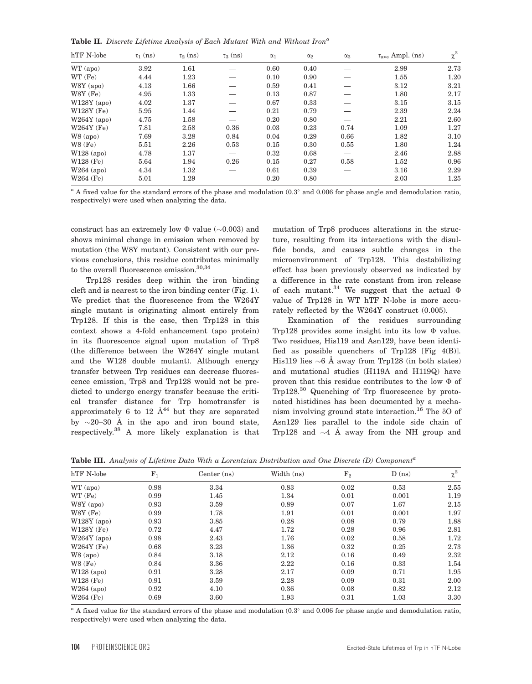Table II. Discrete Lifetime Analysis of Each Mutant With and Without Iron<sup>a</sup>

| hTF N-lobe    | $\tau_1$ (ns) | $\tau_2$ (ns) | $\tau_3$ (ns) | $\alpha_1$ | $\alpha_2$ | $\alpha_3$ | $\tau_{\rm ave}$ Ampl. (ns) | $\chi^2$ |
|---------------|---------------|---------------|---------------|------------|------------|------------|-----------------------------|----------|
| WT (apo)      | 3.92          | 1.61          |               | 0.60       | 0.40       |            | 2.99                        | 2.73     |
| WT(Fe)        | 4.44          | 1.23          |               | 0.10       | 0.90       |            | 1.55                        | 1.20     |
| $W8Y$ (apo)   | 4.13          | 1.66          |               | 0.59       | 0.41       |            | 3.12                        | 3.21     |
| $W8Y$ (Fe)    | 4.95          | 1.33          |               | 0.13       | 0.87       |            | 1.80                        | 2.17     |
| $W128Y$ (apo) | 4.02          | 1.37          |               | 0.67       | 0.33       |            | 3.15                        | 3.15     |
| $W128Y$ (Fe)  | 5.95          | 1.44          |               | 0.21       | 0.79       |            | 2.39                        | 2.24     |
| $W264Y$ (apo) | 4.75          | 1.58          |               | 0.20       | 0.80       |            | 2.21                        | 2.60     |
| $W264Y$ (Fe)  | 7.81          | 2.58          | 0.36          | 0.03       | 0.23       | 0.74       | 1.09                        | 1.27     |
| $W8$ (apo)    | 7.69          | 3.28          | 0.84          | 0.04       | 0.29       | 0.66       | 1.82                        | 3.10     |
| $W8$ (Fe)     | 5.51          | 2.26          | 0.53          | 0.15       | 0.30       | 0.55       | 1.80                        | 1.24     |
| $W128$ (apo)  | 4.78          | 1.37          |               | 0.32       | 0.68       |            | 2.46                        | 2.88     |
| $W128$ (Fe)   | 5.64          | 1.94          | 0.26          | 0.15       | 0.27       | 0.58       | 1.52                        | 0.96     |
| $W264$ (apo)  | 4.34          | 1.32          |               | 0.61       | 0.39       |            | 3.16                        | 2.29     |
| $W264$ (Fe)   | 5.01          | 1.29          |               | 0.20       | 0.80       |            | 2.03                        | 1.25     |

<sup>a</sup> A fixed value for the standard errors of the phase and modulation  $(0.3^{\circ}$  and  $0.006$  for phase angle and demodulation ratio, respectively) were used when analyzing the data.

construct has an extremely low  $\Phi$  value ( $\sim$ 0.003) and shows minimal change in emission when removed by mutation (the W8Y mutant). Consistent with our previous conclusions, this residue contributes minimally to the overall fluorescence emission.<sup>30,34</sup>

Trp128 resides deep within the iron binding cleft and is nearest to the iron binding center (Fig. 1). We predict that the fluorescence from the W264Y single mutant is originating almost entirely from Trp128. If this is the case, then Trp128 in this context shows a 4-fold enhancement (apo protein) in its fluorescence signal upon mutation of Trp8 (the difference between the W264Y single mutant and the W128 double mutant). Although energy transfer between Trp residues can decrease fluorescence emission, Trp8 and Trp128 would not be predicted to undergo energy transfer because the critical transfer distance for Trp homotransfer is approximately 6 to 12  $\AA^{44}$  but they are separated by  $\sim$ 20–30 Å in the apo and iron bound state, respectively.38 A more likely explanation is that mutation of Trp8 produces alterations in the structure, resulting from its interactions with the disulfide bonds, and causes subtle changes in the microenvironment of Trp128. This destabilizing effect has been previously observed as indicated by a difference in the rate constant from iron release of each mutant.<sup>34</sup> We suggest that the actual  $\Phi$ value of Trp128 in WT hTF N-lobe is more accurately reflected by the W264Y construct (0.005).

Examination of the residues surrounding Trp128 provides some insight into its low  $\Phi$  value. Two residues, His119 and Asn129, have been identified as possible quenchers of Trp128 [Fig 4(B)]. His119 lies  $\sim$ 6 Å away from Trp128 (in both states) and mutational studies (H119A and H119Q) have proven that this residue contributes to the low  $\Phi$  of Trp128.30 Quenching of Trp fluorescence by protonated histidines has been documented by a mechanism involving ground state interaction.<sup>16</sup> The  $\delta$ O of Asn129 lies parallel to the indole side chain of Trp128 and  $\sim$ 4 Å away from the NH group and

Table III. Analysis of Lifetime Data With a Lorentzian Distribution and One Discrete (D) Component<sup>a</sup>

| hTF N-lobe    | $F_1$ | Center $(ns)$ | Width (ns) | ${\rm F}_2$ | D(ns) | $\chi^2$ |
|---------------|-------|---------------|------------|-------------|-------|----------|
| WT (apo)      | 0.98  | 3.34          | 0.83       | 0.02        | 0.53  | 2.55     |
| WT (Fe)       | 0.99  | 1.45          | 1.34       | 0.01        | 0.001 | 1.19     |
| $W8Y$ (apo)   | 0.93  | 3.59          | 0.89       | 0.07        | 1.67  | 2.15     |
| $W8Y$ (Fe)    | 0.99  | 1.78          | 1.91       | 0.01        | 0.001 | 1.97     |
| $W128Y$ (apo) | 0.93  | 3.85          | 0.28       | 0.08        | 0.79  | 1.88     |
| W128Y (Fe)    | 0.72  | 4.47          | 1.72       | 0.28        | 0.96  | 2.81     |
| $W264Y$ (apo) | 0.98  | 2.43          | 1.76       | 0.02        | 0.58  | 1.72     |
| $W264Y$ (Fe)  | 0.68  | 3.23          | 1.36       | 0.32        | 0.25  | 2.73     |
| $W8$ (apo)    | 0.84  | 3.18          | 2.12       | 0.16        | 0.49  | 2.32     |
| $W8$ (Fe)     | 0.84  | 3.36          | 2.22       | 0.16        | 0.33  | 1.54     |
| $W128$ (apo)  | 0.91  | 3.28          | 2.17       | 0.09        | 0.71  | 1.95     |
| $W128$ (Fe)   | 0.91  | 3.59          | 2.28       | 0.09        | 0.31  | 2.00     |
| $W264$ (apo)  | 0.92  | 4.10          | 0.36       | 0.08        | 0.82  | 2.12     |
| $W264$ (Fe)   | 0.69  | 3.60          | 1.93       | 0.31        | 1.03  | 3.30     |
|               |       |               |            |             |       |          |

 $^{\rm a}$  A fixed value for the standard errors of the phase and modulation (0.3 $^{\circ}$  and 0.006 for phase angle and demodulation ratio, respectively) were used when analyzing the data.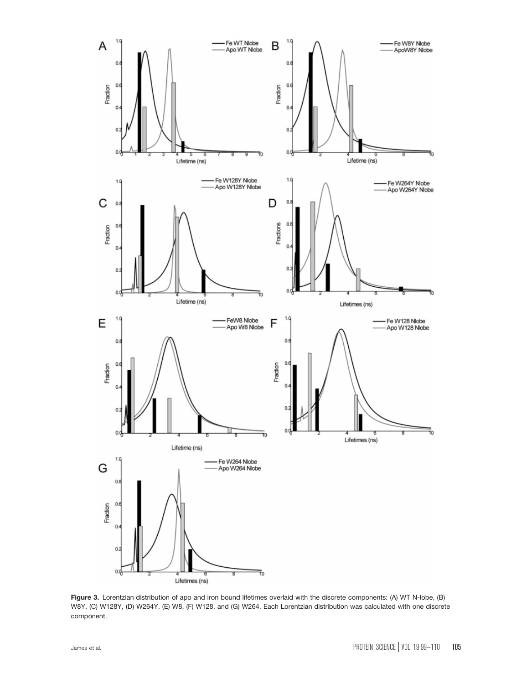

Figure 3. Lorentzian distribution of apo and iron bound lifetimes overlaid with the discrete components: (A) WT N-lobe, (B) W8Y, (C) W128Y, (D) W264Y, (E) W8, (F) W128, and (G) W264. Each Lorentzian distribution was calculated with one discrete component.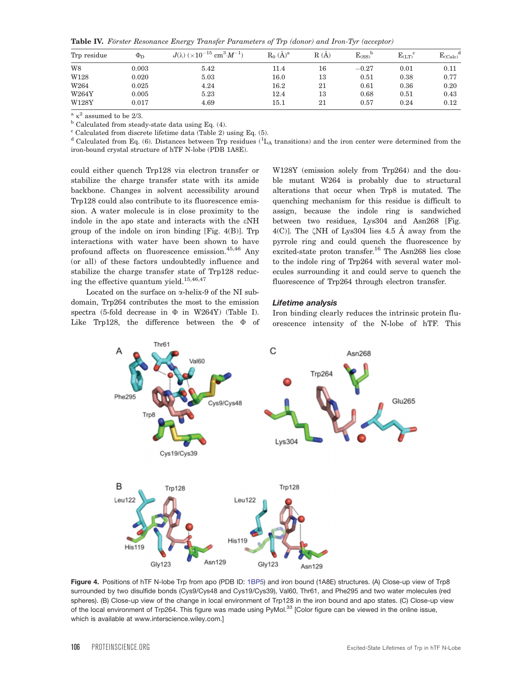Table IV. Förster Resonance Energy Transfer Parameters of Trp (donor) and Iron-Tyr (acceptor)

| Trp residue | $\Phi_{\rm D}$ | $J(\lambda)$ ( $\times 10^{-15}$ cm <sup>3</sup> $\cdot M^{-1}$ ) | $R_0$ $(\dot{A})^a$ | R(A) | $E$ <sub>(SS)</sub> | $E_{(LT)}$ | a<br>$E_{\text{(Calc)}}$ |
|-------------|----------------|-------------------------------------------------------------------|---------------------|------|---------------------|------------|--------------------------|
| W8          | 0.003          | 5.42                                                              | 11.4                | 16   | $-0.27$             | 0.01       | 0.11                     |
| W128        | 0.020          | 5.03                                                              | 16.0                | 13   | 0.51                | 0.38       | 0.77                     |
| W264        | 0.025          | 4.24                                                              | 16.2                | 21   | 0.61                | 0.36       | 0.20                     |
| W264Y       | 0.005          | 5.23                                                              | 12.4                | 13   | 0.68                | 0.51       | 0.43                     |
| W128Y       | 0.017          | 4.69                                                              | $15.1\,$            | 21   | 0.57                | 0.24       | 0.12                     |

 $a \kappa^2$  assumed to be 2/3.

 $<sup>b</sup>$  Calculated from steady-state data using Eq. (4).</sup>

 $c$  Calculated from discrete lifetime data (Table 2) using Eq. (5).

<sup>d</sup> Calculated from Eq. (6). Distances between Trp residues ( ${}^1L_A$  transitions) and the iron center were determined from the iron-bound crystal structure of hTF N-lobe (PDB 1A8E).

could either quench Trp128 via electron transfer or stabilize the charge transfer state with its amide backbone. Changes in solvent accessibility around Trp128 could also contribute to its fluorescence emission. A water molecule is in close proximity to the indole in the apo state and interacts with the eNH group of the indole on iron binding [Fig. 4(B)]. Trp interactions with water have been shown to have profound affects on fluorescence emission. $45,46$  Any (or all) of these factors undoubtedly influence and stabilize the charge transfer state of Trp128 reducing the effective quantum yield.<sup>15,46,47</sup>

Located on the surface on a-helix-9 of the NI subdomain, Trp264 contributes the most to the emission spectra (5-fold decrease in  $\Phi$  in W264Y) (Table I). Like Trp128, the difference between the  $\Phi$  of W128Y (emission solely from Trp264) and the double mutant W264 is probably due to structural alterations that occur when Trp8 is mutated. The quenching mechanism for this residue is difficult to assign, because the indole ring is sandwiched between two residues, Lys304 and Asn268 [Fig. 4(C)]. The  $\zeta$ NH of Lys304 lies 4.5 Å away from the pyrrole ring and could quench the fluorescence by excited-state proton transfer.<sup>16</sup> The Asn268 lies close to the indole ring of Trp264 with several water molecules surrounding it and could serve to quench the fluorescence of Trp264 through electron transfer.

#### Lifetime analysis

Iron binding clearly reduces the intrinsic protein fluorescence intensity of the N-lobe of hTF. This



Figure 4. Positions of hTF N-lobe Trp from apo (PDB ID: 1BP5) and iron bound (1A8E) structures. (A) Close-up view of Trp8 surrounded by two disulfide bonds (Cys9/Cys48 and Cys19/Cys39), Val60, Thr61, and Phe295 and two water molecules (red spheres). (B) Close-up view of the change in local environment of Trp128 in the iron bound and apo states. (C) Close-up view of the local environment of Trp264. This figure was made using PyMol.<sup>33</sup> [Color figure can be viewed in the online issue, which is available at www.interscience.wiley.com.]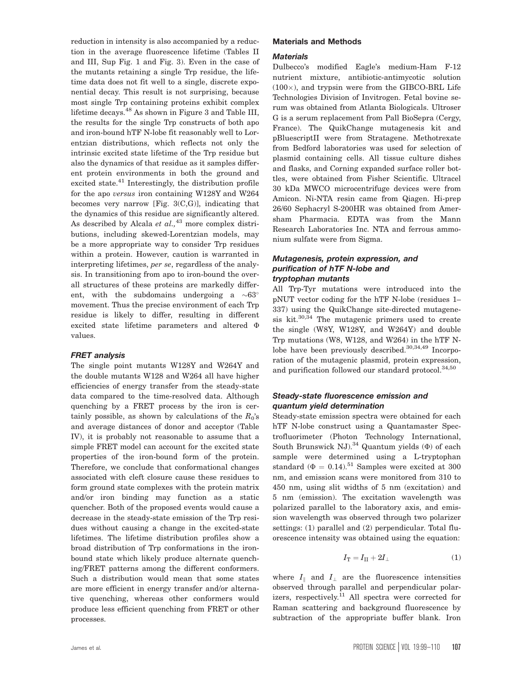reduction in intensity is also accompanied by a reduction in the average fluorescence lifetime (Tables II and III, Sup Fig. 1 and Fig. 3). Even in the case of the mutants retaining a single Trp residue, the lifetime data does not fit well to a single, discrete exponential decay. This result is not surprising, because most single Trp containing proteins exhibit complex lifetime decays.<sup>48</sup> As shown in Figure 3 and Table III, the results for the single Trp constructs of both apo and iron-bound hTF N-lobe fit reasonably well to Lorentzian distributions, which reflects not only the intrinsic excited state lifetime of the Trp residue but also the dynamics of that residue as it samples different protein environments in both the ground and excited state.<sup>41</sup> Interestingly, the distribution profile for the apo versus iron containing W128Y and W264 becomes very narrow [Fig. 3(C,G)], indicating that the dynamics of this residue are significantly altered. As described by Alcala et  $al$ ,  $43$  more complex distributions, including skewed-Lorentzian models, may be a more appropriate way to consider Trp residues within a protein. However, caution is warranted in interpreting lifetimes, per se, regardless of the analysis. In transitioning from apo to iron-bound the overall structures of these proteins are markedly different, with the subdomains undergoing a  $\sim 63^\circ$ movement. Thus the precise environment of each Trp residue is likely to differ, resulting in different excited state lifetime parameters and altered  $\Phi$ values.

#### FRET analysis

The single point mutants W128Y and W264Y and the double mutants W128 and W264 all have higher efficiencies of energy transfer from the steady-state data compared to the time-resolved data. Although quenching by a FRET process by the iron is certainly possible, as shown by calculations of the  $R_0$ 's and average distances of donor and acceptor (Table IV), it is probably not reasonable to assume that a simple FRET model can account for the excited state properties of the iron-bound form of the protein. Therefore, we conclude that conformational changes associated with cleft closure cause these residues to form ground state complexes with the protein matrix and/or iron binding may function as a static quencher. Both of the proposed events would cause a decrease in the steady-state emission of the Trp residues without causing a change in the excited-state lifetimes. The lifetime distribution profiles show a broad distribution of Trp conformations in the ironbound state which likely produce alternate quenching/FRET patterns among the different conformers. Such a distribution would mean that some states are more efficient in energy transfer and/or alternative quenching, whereas other conformers would produce less efficient quenching from FRET or other processes.

### Materials and Methods

#### **Materials**

Dulbecco's modified Eagle's medium-Ham F-12 nutrient mixture, antibiotic-antimycotic solution  $(100\times)$ , and trypsin were from the GIBCO-BRL Life Technologies Division of Invitrogen. Fetal bovine serum was obtained from Atlanta Biologicals. Ultroser G is a serum replacement from Pall BioSepra (Cergy, France). The QuikChange mutagenesis kit and pBluescriptII were from Stratagene. Methotrexate from Bedford laboratories was used for selection of plasmid containing cells. All tissue culture dishes and flasks, and Corning expanded surface roller bottles, were obtained from Fisher Scientific. Ultracel 30 kDa MWCO microcentrifuge devices were from Amicon. Ni-NTA resin came from Qiagen. Hi-prep 26/60 Sephacryl S-200HR was obtained from Amersham Pharmacia. EDTA was from the Mann Research Laboratories Inc. NTA and ferrous ammonium sulfate were from Sigma.

# Mutagenesis, protein expression, and purification of hTF N-lobe and tryptophan mutants

All Trp-Tyr mutations were introduced into the pNUT vector coding for the hTF N-lobe (residues 1– 337) using the QuikChange site-directed mutagenesis  $kit.30,34$  The mutagenic primers used to create the single (W8Y, W128Y, and W264Y) and double Trp mutations (W8, W128, and W264) in the hTF Nlobe have been previously described. $30,34,49$  Incorporation of the mutagenic plasmid, protein expression, and purification followed our standard protocol.<sup>34,50</sup>

# Steady-state fluorescence emission and quantum yield determination

Steady-state emission spectra were obtained for each hTF N-lobe construct using a Quantamaster Spectrofluorimeter (Photon Technology International, South Brunswick NJ).<sup>34</sup> Quantum yields  $(\Phi)$  of each sample were determined using a L-tryptophan standard ( $\Phi = 0.14$ ).<sup>51</sup> Samples were excited at 300 nm, and emission scans were monitored from 310 to 450 nm, using slit widths of 5 nm (excitation) and 5 nm (emission). The excitation wavelength was polarized parallel to the laboratory axis, and emission wavelength was observed through two polarizer settings: (1) parallel and (2) perpendicular. Total fluorescence intensity was obtained using the equation:

$$
I_{\rm T} = I_{\rm II} + 2I_{\perp} \tag{1}
$$

where  $I_{\parallel}$  and  $I_{\perp}$  are the fluorescence intensities observed through parallel and perpendicular polarizers, respectively.<sup>11</sup> All spectra were corrected for Raman scattering and background fluorescence by subtraction of the appropriate buffer blank. Iron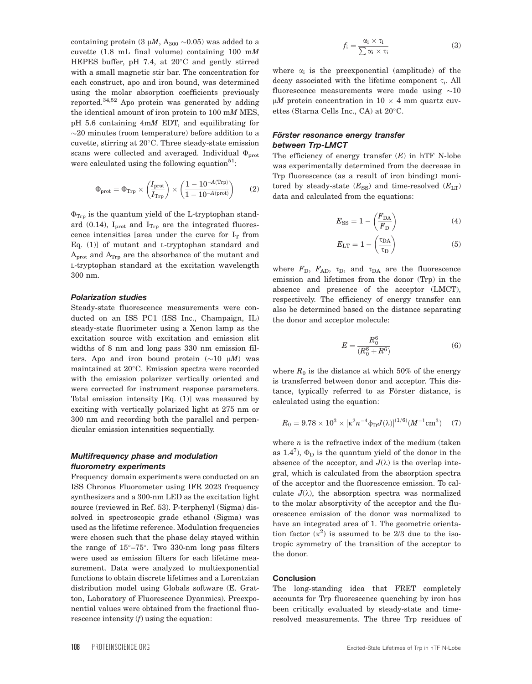containing protein (3  $\mu$ M, A<sub>300</sub> ~0.05) was added to a cuvette (1.8 mL final volume) containing 100 mM HEPES buffer, pH 7.4, at  $20^{\circ}$ C and gently stirred with a small magnetic stir bar. The concentration for each construct, apo and iron bound, was determined using the molar absorption coefficients previously reported.34,52 Apo protein was generated by adding the identical amount of iron protein to 100 mM MES, pH 5.6 containing 4mM EDT, and equilibrating for  $\sim$ 20 minutes (room temperature) before addition to a cuvette, stirring at  $20^{\circ}$ C. Three steady-state emission scans were collected and averaged. Individual  $\Phi_{\text{prot}}$ were calculated using the following equation<sup>51</sup>:

$$
\Phi_{\text{prot}} = \Phi_{\text{Trp}} \times \left(\frac{I_{\text{prot}}}{I_{\text{Trp}}}\right) \times \left(\frac{1 - 10^{-A(\text{Trp})}}{1 - 10^{-A(\text{prot})}}\right) \tag{2}
$$

 $\Phi_{\text{Trp}}$  is the quantum yield of the L-tryptophan standard (0.14),  $I_{\text{prot}}$  and  $I_{\text{Trp}}$  are the integrated fluorescence intensities [area under the curve for  $I_T$  from Eq. (1)] of mutant and L-tryptophan standard and  $A_{prot}$  and  $A_{Trp}$  are the absorbance of the mutant and L-tryptophan standard at the excitation wavelength 300 nm.

#### Polarization studies

Steady-state fluorescence measurements were conducted on an ISS PC1 (ISS Inc., Champaign, IL) steady-state fluorimeter using a Xenon lamp as the excitation source with excitation and emission slit widths of 8 nm and long pass 330 nm emission filters. Apo and iron bound protein  $(\sim 10 \mu M)$  was maintained at 20°C. Emission spectra were recorded with the emission polarizer vertically oriented and were corrected for instrument response parameters. Total emission intensity [Eq. (1)] was measured by exciting with vertically polarized light at 275 nm or 300 nm and recording both the parallel and perpendicular emission intensities sequentially.

# Multifrequency phase and modulation fluorometry experiments

Frequency domain experiments were conducted on an ISS Chronos Fluorometer using IFR 2023 frequency synthesizers and a 300-nm LED as the excitation light source (reviewed in Ref. 53). P-terphenyl (Sigma) dissolved in spectroscopic grade ethanol (Sigma) was used as the lifetime reference. Modulation frequencies were chosen such that the phase delay stayed within the range of  $15^{\circ}-75^{\circ}$ . Two 330-nm long pass filters were used as emission filters for each lifetime measurement. Data were analyzed to multiexponential functions to obtain discrete lifetimes and a Lorentzian distribution model using Globals software (E. Gratton, Laboratory of Fluorescence Dyanmics). Preexponential values were obtained from the fractional fluorescence intensity  $(f)$  using the equation:

$$
f_i = \frac{\alpha_i \times \tau_i}{\sum \alpha_i \times \tau_i}
$$
 (3)

where  $\alpha_i$  is the preexponential (amplitude) of the decay associated with the lifetime component  $\tau_i$ . All fluorescence measurements were made using  $\sim 10$  $\mu$ M protein concentration in 10  $\times$  4 mm quartz cuvettes (Starna Cells Inc., CA) at  $20^{\circ}$ C.

### Förster resonance energy transfer between Trp-LMCT

The efficiency of energy transfer  $(E)$  in hTF N-lobe was experimentally determined from the decrease in Trp fluorescence (as a result of iron binding) monitored by steady-state  $(E_{SS})$  and time-resolved  $(E_{LT})$ data and calculated from the equations:

$$
E_{\rm SS} = 1 - \left(\frac{F_{\rm DA}}{F_{\rm D}}\right) \tag{4}
$$

$$
E_{\rm LT} = 1 - \left(\frac{\tau_{\rm DA}}{\tau_{\rm D}}\right) \tag{5}
$$

where  $F_{\text{D}}$ ,  $F_{\text{AD}}$ ,  $\tau_{\text{D}}$ , and  $\tau_{\text{DA}}$  are the fluorescence emission and lifetimes from the donor (Trp) in the absence and presence of the acceptor (LMCT), respectively. The efficiency of energy transfer can also be determined based on the distance separating the donor and acceptor molecule:

$$
E = \frac{R_0^6}{(R_0^6 + R^6)}
$$
 (6)

where  $R_0$  is the distance at which 50% of the energy is transferred between donor and acceptor. This distance, typically referred to as Förster distance, is calculated using the equation:

$$
R_0 = 9.78 \times 10^3 \times [\kappa^2 n^{-4} \phi_D J(\lambda)]^{(1/6)} (M^{-1} \text{cm}^3) \quad (7)
$$

where  $n$  is the refractive index of the medium (taken as  $1.4^7$ ),  $\Phi_D$  is the quantum yield of the donor in the absence of the acceptor, and  $J(\lambda)$  is the overlap integral, which is calculated from the absorption spectra of the acceptor and the fluorescence emission. To calculate  $J(\lambda)$ , the absorption spectra was normalized to the molar absorptivity of the acceptor and the fluorescence emission of the donor was normalized to have an integrated area of 1. The geometric orientation factor  $(\kappa^2)$  is assumed to be 2/3 due to the isotropic symmetry of the transition of the acceptor to the donor.

#### Conclusion

The long-standing idea that FRET completely accounts for Trp fluorescence quenching by iron has been critically evaluated by steady-state and timeresolved measurements. The three Trp residues of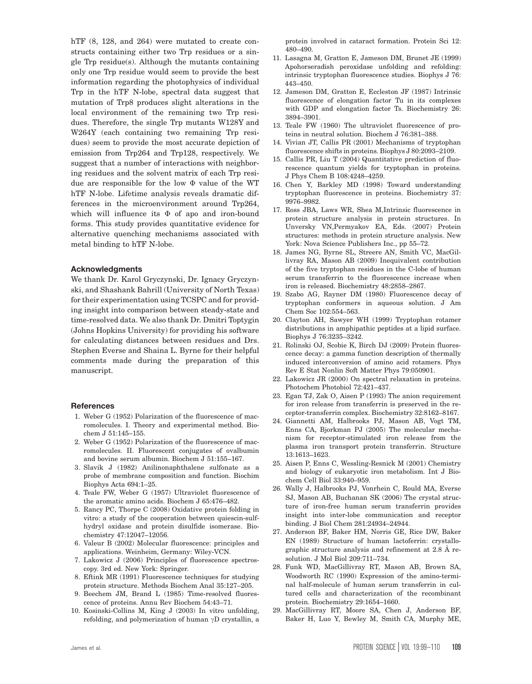hTF  $(8, 128,$  and  $264)$  were mutated to create constructs containing either two Trp residues or a single Trp residue(s). Although the mutants containing only one Trp residue would seem to provide the best information regarding the photophysics of individual Trp in the hTF N-lobe, spectral data suggest that mutation of Trp8 produces slight alterations in the local environment of the remaining two Trp residues. Therefore, the single Trp mutants W128Y and W264Y (each containing two remaining Trp residues) seem to provide the most accurate depiction of emission from Trp264 and Trp128, respectively. We suggest that a number of interactions with neighboring residues and the solvent matrix of each Trp residue are responsible for the low  $\Phi$  value of the WT hTF N-lobe. Lifetime analysis reveals dramatic differences in the microenvironment around Trp264, which will influence its  $\Phi$  of apo and iron-bound forms. This study provides quantitative evidence for alternative quenching mechanisms associated with metal binding to hTF N-lobe.

#### Acknowledgments

We thank Dr. Karol Gryczynski, Dr. Ignacy Gryczynski, and Shashank Bahrill (University of North Texas) for their experimentation using TCSPC and for providing insight into comparison between steady-state and time-resolved data. We also thank Dr. Dmitri Toptygin (Johns Hopkins University) for providing his software for calculating distances between residues and Drs. Stephen Everse and Shaina L. Byrne for their helpful comments made during the preparation of this manuscript.

#### References

- 1. Weber G (1952) Polarization of the fluorescence of macromolecules. I. Theory and experimental method. Biochem J 51:145–155.
- 2. Weber G (1952) Polarization of the fluorescence of macromolecules. II. Fluorescent conjugates of ovalbumin and bovine serum albumin. Biochem J 51:155–167.
- 3. Slavik J (1982) Anilinonaphthalene sulfonate as a probe of membrane composition and function. Biochim Biophys Acta 694:1–25.
- 4. Teale FW, Weber G (1957) Ultraviolet fluorescence of the aromatic amino acids. Biochem J 65:476–482.
- 5. Rancy PC, Thorpe C (2008) Oxidative protein folding in vitro: a study of the cooperation between quiescin-sulfhydryl oxidase and protein disulfide isomerase. Biochemistry 47:12047–12056.
- 6. Valeur B (2002) Molecular fluorescence: principles and applications. Weinheim, Germany: Wiley-VCN.
- 7. Lakowicz J (2006) Principles of fluorescence spectroscopy. 3rd ed. New York: Springer.
- 8. Eftink MR (1991) Fluorescence techniques for studying protein structure. Methods Biochem Anal 35:127–205.
- 9. Beechem JM, Brand L (1985) Time-resolved fluorescence of proteins. Annu Rev Biochem 54:43–71.
- 10. Kosinski-Collins M, King J (2003) In vitro unfolding, refolding, and polymerization of human  $\gamma D$  crystallin, a

protein involved in cataract formation. Protein Sci 12: 480–490.

- 11. Lasagna M, Gratton E, Jameson DM, Brunet JE (1999) Apohorseradish peroxidase unfolding and refolding: intrinsic tryptophan fluorescence studies. Biophys J 76: 443–450.
- 12. Jameson DM, Gratton E, Eccleston JF (1987) Intrinsic fluorescence of elongation factor Tu in its complexes with GDP and elongation factor Ts. Biochemistry 26: 3894–3901.
- 13. Teale FW (1960) The ultraviolet fluorescence of proteins in neutral solution. Biochem J 76:381–388.
- 14. Vivian JT, Callis PR (2001) Mechanisms of tryptophan fluorescence shifts in proteins. Biophys J 80:2093–2109.
- 15. Callis PR, Liu T (2004) Quantitative prediction of fluorescence quantum yields for tryptophan in proteins. J Phys Chem B 108:4248–4259.
- 16. Chen Y, Barkley MD (1998) Toward understanding tryptophan fluorescence in proteins. Biochemistry 37: 9976–9982.
- 17. Ross JBA, Laws WR, Shea M,Intrinsic fluorescence in protein structure analysis in protein structures. In Unversky VN,Permyakov EA, Eds. (2007) Protein structures: methods in protein structure analysis. New York: Nova Science Publishers Inc., pp 55–72.
- 18. James NG, Byrne SL, Streere AN, Smith VC, MacGillivray RA, Mason AB (2009) Inequivalent contribution of the five tryptophan residues in the C-lobe of human serum transferrin to the fluorescence increase when iron is released. Biochemistry 48:2858–2867.
- 19. Szabo AG, Rayner DM (1980) Fluorescence decay of tryptophan conformers in aqueous solution. J Am Chem Soc 102:554–563.
- 20. Clayton AH, Sawyer WH (1999) Tryptophan rotamer distributions in amphipathic peptides at a lipid surface. Biophys J 76:3235–3242.
- 21. Rolinski OJ, Scobie K, Birch DJ (2009) Protein fluorescence decay: a gamma function description of thermally induced interconversion of amino acid rotamers. Phys Rev E Stat Nonlin Soft Matter Phys 79:050901.
- 22. Lakowicz JR (2000) On spectral relaxation in proteins. Photochem Photobiol 72:421–437.
- 23. Egan TJ, Zak O, Aisen P (1993) The anion requirement for iron release from transferrin is preserved in the receptor-transferrin complex. Biochemistry 32:8162–8167.
- 24. Giannetti AM, Halbrooks PJ, Mason AB, Vogt TM, Enns CA, Bjorkman PJ (2005) The molecular mechanism for receptor-stimulated iron release from the plasma iron transport protein transferrin. Structure 13:1613–1623.
- 25. Aisen P, Enns C, Wessling-Resnick M (2001) Chemistry and biology of eukaryotic iron metabolism. Int J Biochem Cell Biol 33:940–959.
- 26. Wally J, Halbrooks PJ, Vonrhein C, Rould MA, Everse SJ, Mason AB, Buchanan SK (2006) The crystal structure of iron-free human serum transferrin provides insight into inter-lobe communication and receptor binding. J Biol Chem 281:24934–24944.
- 27. Anderson BF, Baker HM, Norris GE, Rice DW, Baker EN (1989) Structure of human lactoferrin: crystallographic structure analysis and refinement at  $2.8 \text{ Å}$  resolution. J Mol Biol 209:711–734.
- 28. Funk WD, MacGillivray RT, Mason AB, Brown SA, Woodworth RC (1990) Expression of the amino-terminal half-molecule of human serum transferrin in cultured cells and characterization of the recombinant protein. Biochemistry 29:1654–1660.
- 29. MacGillivray RT, Moore SA, Chen J, Anderson BF, Baker H, Luo Y, Bewley M, Smith CA, Murphy ME,